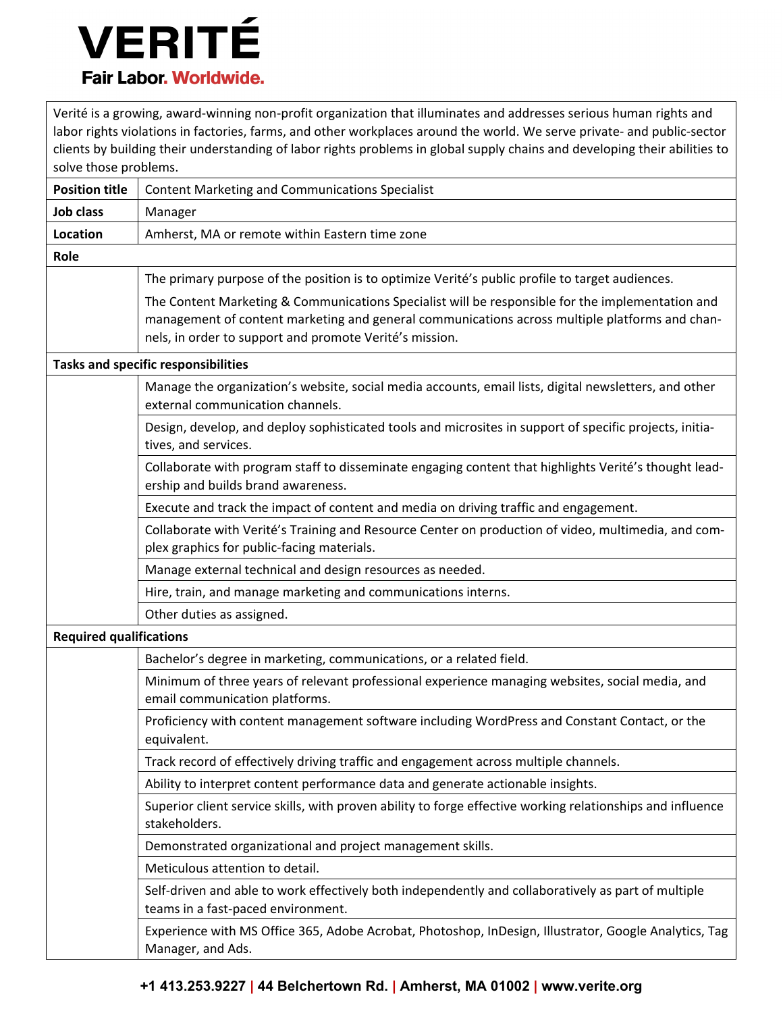## VERITÉ **Fair Labor, Worldwide.**

Verité is a growing, award-winning non-profit organization that illuminates and addresses serious human rights and labor rights violations in factories, farms, and other workplaces around the world. We serve private- and public-sector clients by building their understanding of labor rights problems in global supply chains and developing their abilities to solve those problems. **Position title** | Content Marketing and Communications Specialist **Job class** | Manager **Location** | Amherst, MA or remote within Eastern time zone **Role** The primary purpose of the position is to optimize Verité's public profile to target audiences. The Content Marketing & Communications Specialist will be responsible for the implementation and management of content marketing and general communications across multiple platforms and channels, in order to support and promote Verité's mission. **Tasks and specific responsibilities** Manage the organization's website, social media accounts, email lists, digital newsletters, and other external communication channels. Design, develop, and deploy sophisticated tools and microsites in support of specific projects, initiatives, and services. Collaborate with program staff to disseminate engaging content that highlights Verité's thought leadership and builds brand awareness. Execute and track the impact of content and media on driving traffic and engagement. Collaborate with Verité's Training and Resource Center on production of video, multimedia, and complex graphics for public-facing materials. Manage external technical and design resources as needed. Hire, train, and manage marketing and communications interns. Other duties as assigned. **Required qualifications** Bachelor's degree in marketing, communications, or a related field. Minimum of three years of relevant professional experience managing websites, social media, and email communication platforms. Proficiency with content management software including WordPress and Constant Contact, or the equivalent. Track record of effectively driving traffic and engagement across multiple channels. Ability to interpret content performance data and generate actionable insights. Superior client service skills, with proven ability to forge effective working relationships and influence stakeholders. Demonstrated organizational and project management skills. Meticulous attention to detail. Self-driven and able to work effectively both independently and collaboratively as part of multiple teams in a fast-paced environment. Experience with MS Office 365, Adobe Acrobat, Photoshop, InDesign, Illustrator, Google Analytics, Tag Manager, and Ads.